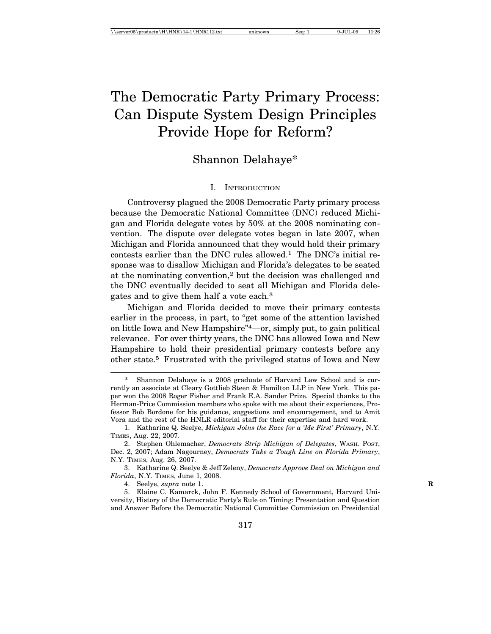# The Democratic Party Primary Process: Can Dispute System Design Principles Provide Hope for Reform?

# Shannon Delahaye\*

#### I. INTRODUCTION

Controversy plagued the 2008 Democratic Party primary process because the Democratic National Committee (DNC) reduced Michigan and Florida delegate votes by 50% at the 2008 nominating convention. The dispute over delegate votes began in late 2007, when Michigan and Florida announced that they would hold their primary contests earlier than the DNC rules allowed.1 The DNC's initial response was to disallow Michigan and Florida's delegates to be seated at the nominating convention,2 but the decision was challenged and the DNC eventually decided to seat all Michigan and Florida delegates and to give them half a vote each.3

Michigan and Florida decided to move their primary contests earlier in the process, in part, to "get some of the attention lavished on little Iowa and New Hampshire"4—or, simply put, to gain political relevance. For over thirty years, the DNC has allowed Iowa and New Hampshire to hold their presidential primary contests before any other state.5 Frustrated with the privileged status of Iowa and New

4. Seelye, *supra* note 1. **R**

5. Elaine C. Kamarck, John F. Kennedy School of Government, Harvard University, History of the Democratic Party's Rule on Timing: Presentation and Question and Answer Before the Democratic National Committee Commission on Presidential

Shannon Delahaye is a 2008 graduate of Harvard Law School and is currently an associate at Cleary Gottlieb Steen & Hamilton LLP in New York. This paper won the 2008 Roger Fisher and Frank E.A. Sander Prize. Special thanks to the Herman-Price Commission members who spoke with me about their experiences, Professor Bob Bordone for his guidance, suggestions and encouragement, and to Amit Vora and the rest of the HNLR editorial staff for their expertise and hard work.

<sup>1.</sup> Katharine Q. Seelye, *Michigan Joins the Race for a 'Me First' Primary*, N.Y. TIMES, Aug. 22, 2007.

<sup>2.</sup> Stephen Ohlemacher, *Democrats Strip Michigan of Delegates*, WASH. POST, Dec. 2, 2007; Adam Nagourney, *Democrats Take a Tough Line on Florida Primary*, N.Y. TIMES, Aug. 26, 2007.

<sup>3.</sup> Katharine Q. Seelye & Jeff Zeleny, *Democrats Approve Deal on Michigan and Florida*, N.Y. TIMES, June 1, 2008.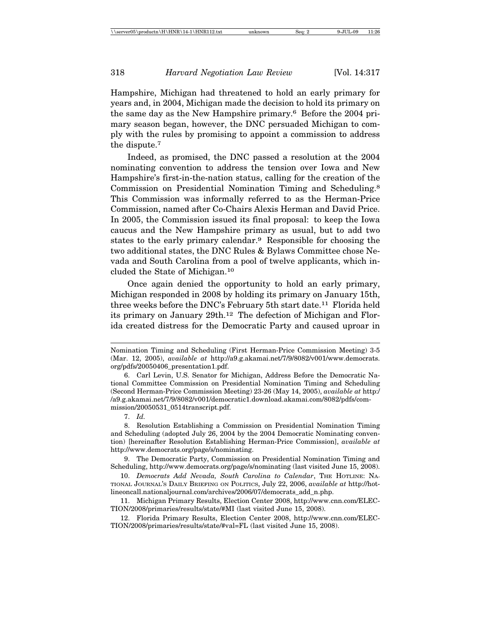Hampshire, Michigan had threatened to hold an early primary for years and, in 2004, Michigan made the decision to hold its primary on the same day as the New Hampshire primary.<sup>6</sup> Before the 2004 primary season began, however, the DNC persuaded Michigan to comply with the rules by promising to appoint a commission to address the dispute.7

Indeed, as promised, the DNC passed a resolution at the 2004 nominating convention to address the tension over Iowa and New Hampshire's first-in-the-nation status, calling for the creation of the Commission on Presidential Nomination Timing and Scheduling.8 This Commission was informally referred to as the Herman-Price Commission, named after Co-Chairs Alexis Herman and David Price. In 2005, the Commission issued its final proposal: to keep the Iowa caucus and the New Hampshire primary as usual, but to add two states to the early primary calendar.<sup>9</sup> Responsible for choosing the two additional states, the DNC Rules & Bylaws Committee chose Nevada and South Carolina from a pool of twelve applicants, which included the State of Michigan.10

Once again denied the opportunity to hold an early primary, Michigan responded in 2008 by holding its primary on January 15th, three weeks before the DNC's February 5th start date.<sup>11</sup> Florida held its primary on January 29th.<sup>12</sup> The defection of Michigan and Florida created distress for the Democratic Party and caused uproar in

7. *Id.*

Nomination Timing and Scheduling (First Herman-Price Commission Meeting) 3-5 (Mar. 12, 2005), *available at* http://a9.g.akamai.net/7/9/8082/v001/www.democrats. org/pdfs/20050406\_presentation1.pdf.

<sup>6.</sup> Carl Levin, U.S. Senator for Michigan, Address Before the Democratic National Committee Commission on Presidential Nomination Timing and Scheduling (Second Herman-Price Commission Meeting) 23-26 (May 14, 2005), *available at* http:/ /a9.g.akamai.net/7/9/8082/v001/democratic1.download.akamai.com/8082/pdfs/commission/20050531\_0514transcript.pdf.

<sup>8.</sup> Resolution Establishing a Commission on Presidential Nomination Timing and Scheduling (adopted July 26, 2004 by the 2004 Democratic Nominating convention) [hereinafter Resolution Establishing Herman-Price Commission], *available at* http://www.democrats.org/page/s/nominating.

<sup>9.</sup> The Democratic Party, Commission on Presidential Nomination Timing and Scheduling, http://www.democrats.org/page/s/nominating (last visited June 15, 2008).

<sup>10.</sup> *Democrats Add Nevada, South Carolina to Calendar*, THE HOTLINE: NA-TIONAL JOURNAL'S DAILY BRIEFING ON POLITICS, July 22, 2006, *available at* http://hotlineoncall.nationaljournal.com/archives/2006/07/democrats\_add\_n.php.

<sup>11.</sup> Michigan Primary Results, Election Center 2008, http://www.cnn.com/ELEC-TION/2008/primaries/results/state/#MI (last visited June 15, 2008).

<sup>12.</sup> Florida Primary Results, Election Center 2008, http://www.cnn.com/ELEC-TION/2008/primaries/results/state/#val=FL (last visited June 15, 2008).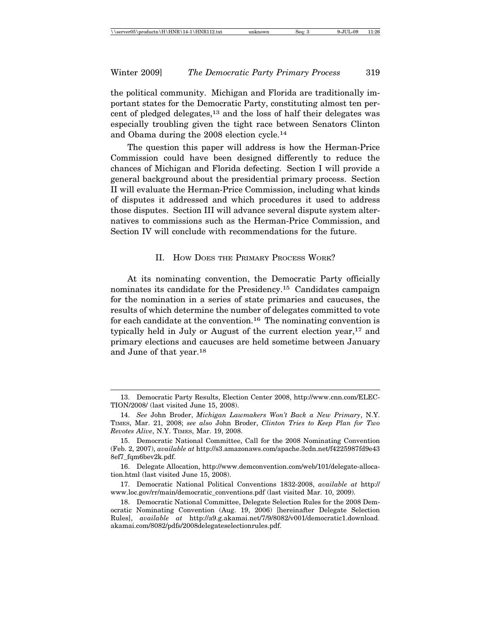the political community. Michigan and Florida are traditionally important states for the Democratic Party, constituting almost ten percent of pledged delegates,<sup>13</sup> and the loss of half their delegates was especially troubling given the tight race between Senators Clinton and Obama during the 2008 election cycle.14

The question this paper will address is how the Herman-Price Commission could have been designed differently to reduce the chances of Michigan and Florida defecting. Section I will provide a general background about the presidential primary process. Section II will evaluate the Herman-Price Commission, including what kinds of disputes it addressed and which procedures it used to address those disputes. Section III will advance several dispute system alternatives to commissions such as the Herman-Price Commission, and Section IV will conclude with recommendations for the future.

#### II. HOW DOES THE PRIMARY PROCESS WORK?

At its nominating convention, the Democratic Party officially nominates its candidate for the Presidency.15 Candidates campaign for the nomination in a series of state primaries and caucuses, the results of which determine the number of delegates committed to vote for each candidate at the convention.<sup>16</sup> The nominating convention is typically held in July or August of the current election year,  $17$  and primary elections and caucuses are held sometime between January and June of that year.18

<sup>13.</sup> Democratic Party Results, Election Center 2008, http://www.cnn.com/ELEC-TION/2008/ (last visited June 15, 2008).

<sup>14.</sup> *See* John Broder, *Michigan Lawmakers Won't Back a New Primary*, N.Y. TIMES, Mar. 21, 2008; *see also* John Broder, *Clinton Tries to Keep Plan for Two Revotes Alive*, N.Y. TIMES, Mar. 19, 2008.

<sup>15.</sup> Democratic National Committee, Call for the 2008 Nominating Convention (Feb. 2, 2007), *available at* http://s3.amazonaws.com/apache.3cdn.net/f4225987fd9e43 8ef7\_fqm6bev2k.pdf.

<sup>16.</sup> Delegate Allocation, http://www.demconvention.com/web/101/delegate-allocation.html (last visited June 15, 2008).

<sup>17.</sup> Democratic National Political Conventions 1832-2008, *available at* http:// www.loc.gov/rr/main/democratic\_conventions.pdf (last visited Mar. 10, 2009).

<sup>18.</sup> Democratic National Committee, Delegate Selection Rules for the 2008 Democratic Nominating Convention (Aug. 19, 2006) [hereinafter Delegate Selection Rules], *available at* http://a9.g.akamai.net/7/9/8082/v001/democratic1.download. akamai.com/8082/pdfs/2008delegateselectionrules.pdf.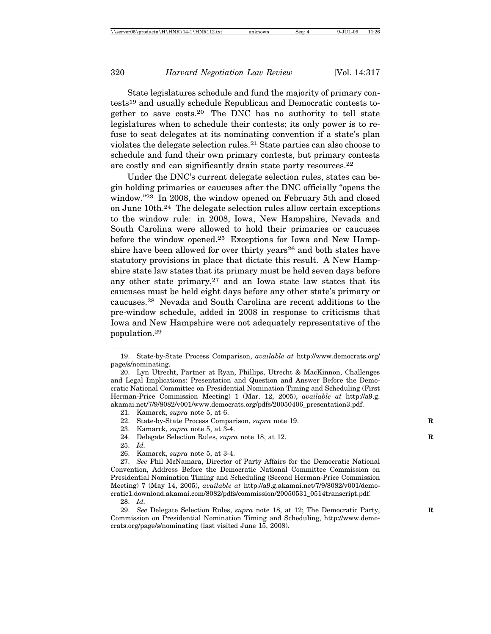State legislatures schedule and fund the majority of primary contests19 and usually schedule Republican and Democratic contests together to save costs.20 The DNC has no authority to tell state legislatures when to schedule their contests; its only power is to refuse to seat delegates at its nominating convention if a state's plan violates the delegate selection rules.21 State parties can also choose to schedule and fund their own primary contests, but primary contests are costly and can significantly drain state party resources.22

Under the DNC's current delegate selection rules, states can begin holding primaries or caucuses after the DNC officially "opens the window."23 In 2008, the window opened on February 5th and closed on June 10th.24 The delegate selection rules allow certain exceptions to the window rule: in 2008, Iowa, New Hampshire, Nevada and South Carolina were allowed to hold their primaries or caucuses before the window opened.<sup>25</sup> Exceptions for Iowa and New Hampshire have been allowed for over thirty years<sup>26</sup> and both states have statutory provisions in place that dictate this result. A New Hampshire state law states that its primary must be held seven days before any other state primary, $27$  and an Iowa state law states that its caucuses must be held eight days before any other state's primary or caucuses.28 Nevada and South Carolina are recent additions to the pre-window schedule, added in 2008 in response to criticisms that Iowa and New Hampshire were not adequately representative of the population.29

- 22. State-by-State Process Comparison, *supra* note 19. **R**
- 23. Kamarck, *supra* note 5, at 3-4.
- 24. Delegate Selection Rules, *supra* note 18, at 12. **R**
- 25. *Id.*
- 26. Kamarck, *supra* note 5, at 3-4.

<sup>19.</sup> State-by-State Process Comparison, *available at* http://www.democrats.org/ page/s/nominating.

<sup>20.</sup> Lyn Utrecht, Partner at Ryan, Phillips, Utrecht & MacKinnon, Challenges and Legal Implications: Presentation and Question and Answer Before the Democratic National Committee on Presidential Nomination Timing and Scheduling (First Herman-Price Commission Meeting) 1 (Mar. 12, 2005), *available at* http://a9.g. akamai.net/7/9/8082/v001/www.democrats.org/pdfs/20050406\_presentation3.pdf.

<sup>21.</sup> Kamarck, *supra* note 5, at 6.

<sup>27.</sup> *See* Phil McNamara, Director of Party Affairs for the Democratic National Convention, Address Before the Democratic National Committee Commission on Presidential Nomination Timing and Scheduling (Second Herman-Price Commission Meeting) 7 (May 14, 2005), *available at* http://a9.g.akamai.net/7/9/8082/v001/democratic1.download.akamai.com/8082/pdfs/commission/20050531\_0514transcript.pdf.

<sup>28.</sup> *Id.*

<sup>29.</sup> *See* Delegate Selection Rules, *supra* note 18, at 12; The Democratic Party, Commission on Presidential Nomination Timing and Scheduling, http://www.democrats.org/page/s/nominating (last visited June 15, 2008).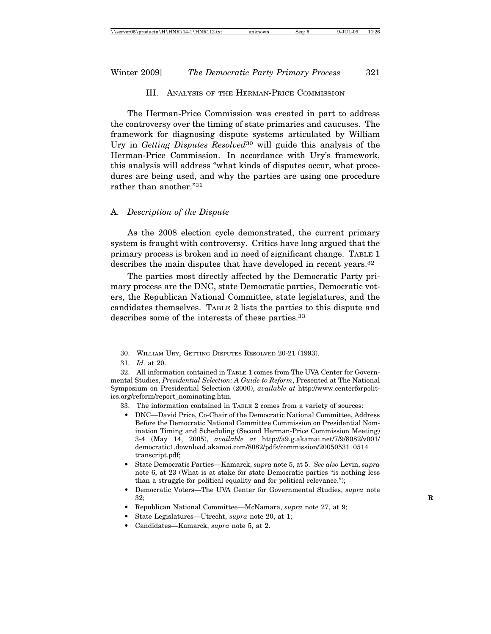# III. ANALYSIS OF THE HERMAN-PRICE COMMISSION

The Herman-Price Commission was created in part to address the controversy over the timing of state primaries and caucuses. The framework for diagnosing dispute systems articulated by William Ury in *Getting Disputes Resolved*30 will guide this analysis of the Herman-Price Commission. In accordance with Ury's framework, this analysis will address "what kinds of disputes occur, what procedures are being used, and why the parties are using one procedure rather than another."31

#### A. *Description of the Dispute*

As the 2008 election cycle demonstrated, the current primary system is fraught with controversy. Critics have long argued that the primary process is broken and in need of significant change. TABLE 1 describes the main disputes that have developed in recent years.<sup>32</sup>

The parties most directly affected by the Democratic Party primary process are the DNC, state Democratic parties, Democratic voters, the Republican National Committee, state legislatures, and the candidates themselves. TABLE 2 lists the parties to this dispute and describes some of the interests of these parties.<sup>33</sup>

- 33. The information contained in TABLE 2 comes from a variety of sources:
	- DNC—David Price, Co-Chair of the Democratic National Committee, Address Before the Democratic National Committee Commission on Presidential Nomination Timing and Scheduling (Second Herman-Price Commission Meeting) 3-4 (May 14, 2005), *available at* http://a9.g.akamai.net/7/9/8082/v001/ democratic1.download.akamai.com/8082/pdfs/commission/20050531\_0514 transcript.pdf;
- State Democratic Parties—Kamarck, *supra* note 5, at 5. *See also* Levin, *supra* note 6, at 23 (What is at stake for state Democratic parties "is nothing less than a struggle for political equality and for political relevance.");
- Democratic Voters—The UVA Center for Governmental Studies, *supra* note 32; **R**
- Republican National Committee—McNamara, *supra* note 27, at 9;
- State Legislatures—Utrecht, *supra* note 20, at 1;
- Candidates—Kamarck, *supra* note 5, at 2.

<sup>30.</sup> WILLIAM URY, GETTING DISPUTES RESOLVED 20-21 (1993).

<sup>31.</sup> *Id.* at 20.

<sup>32.</sup> All information contained in TABLE 1 comes from The UVA Center for Governmental Studies, *Presidential Selection: A Guide to Reform*, Presented at The National Symposium on Presidential Selection (2000), *available at* http://www.centerforpolitics.org/reform/report\_nominating.htm.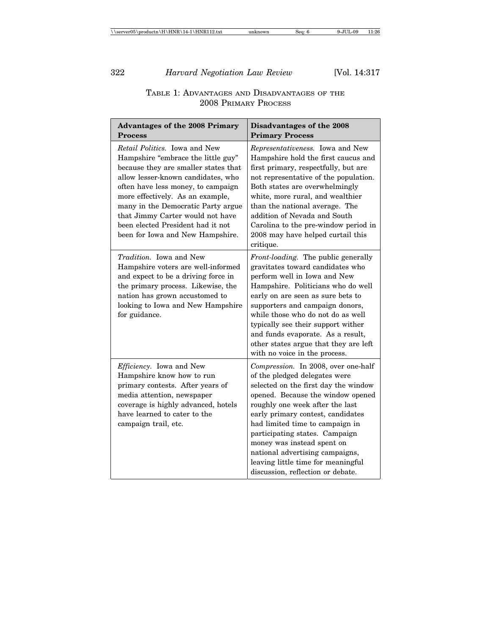# TABLE 1: ADVANTAGES AND DISADVANTAGES OF THE 2008 PRIMARY PROCESS

| <b>Advantages of the 2008 Primary</b><br><b>Process</b>                                                                                                                                                                                                                                                                                                                               | Disadvantages of the 2008<br><b>Primary Process</b>                                                                                                                                                                                                                                                                                                                                                                                        |  |  |
|---------------------------------------------------------------------------------------------------------------------------------------------------------------------------------------------------------------------------------------------------------------------------------------------------------------------------------------------------------------------------------------|--------------------------------------------------------------------------------------------------------------------------------------------------------------------------------------------------------------------------------------------------------------------------------------------------------------------------------------------------------------------------------------------------------------------------------------------|--|--|
| <i>Retail Politics.</i> Iowa and New<br>Hampshire "embrace the little guy"<br>because they are smaller states that<br>allow lesser-known candidates, who<br>often have less money, to campaign<br>more effectively. As an example,<br>many in the Democratic Party argue<br>that Jimmy Carter would not have<br>been elected President had it not<br>been for Iowa and New Hampshire. | Representativeness. Iowa and New<br>Hampshire hold the first caucus and<br>first primary, respectfully, but are<br>not representative of the population.<br>Both states are overwhelmingly<br>white, more rural, and wealthier<br>than the national average. The<br>addition of Nevada and South<br>Carolina to the pre-window period in<br>2008 may have helped curtail this<br>critique.                                                 |  |  |
| Tradition. Iowa and New<br>Hampshire voters are well-informed<br>and expect to be a driving force in<br>the primary process. Likewise, the<br>nation has grown accustomed to<br>looking to Iowa and New Hampshire<br>for guidance.                                                                                                                                                    | Front-loading. The public generally<br>gravitates toward candidates who<br>perform well in Iowa and New<br>Hampshire. Politicians who do well<br>early on are seen as sure bets to<br>supporters and campaign donors,<br>while those who do not do as well<br>typically see their support wither<br>and funds evaporate. As a result,<br>other states argue that they are left<br>with no voice in the process.                            |  |  |
| Efficiency. Iowa and New<br>Hampshire know how to run<br>primary contests. After years of<br>media attention, newspaper<br>coverage is highly advanced, hotels<br>have learned to cater to the<br>campaign trail, etc.                                                                                                                                                                | Compression. In 2008, over one-half<br>of the pledged delegates were<br>selected on the first day the window<br>opened. Because the window opened<br>roughly one week after the last<br>early primary contest, candidates<br>had limited time to campaign in<br>participating states. Campaign<br>money was instead spent on<br>national advertising campaigns,<br>leaving little time for meaningful<br>discussion, reflection or debate. |  |  |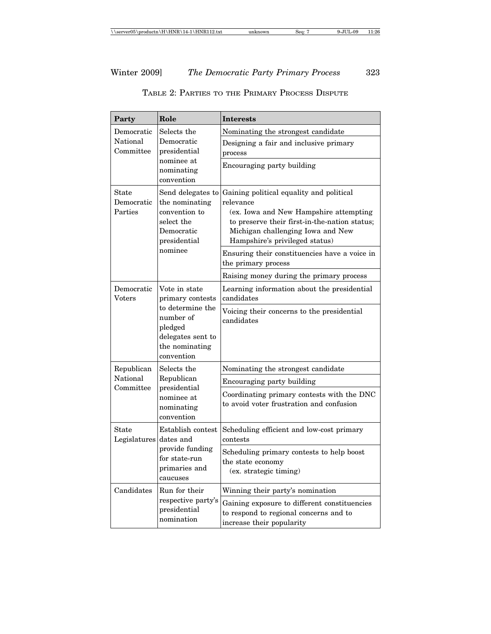| Party                                                                                         | Role                                                                                                        | <b>Interests</b>                                                                                                                                                                                                        |  |  |  |
|-----------------------------------------------------------------------------------------------|-------------------------------------------------------------------------------------------------------------|-------------------------------------------------------------------------------------------------------------------------------------------------------------------------------------------------------------------------|--|--|--|
| Democratic<br>National<br>Committee                                                           | Selects the<br>Democratic<br>presidential                                                                   | Nominating the strongest candidate<br>Designing a fair and inclusive primary<br>process                                                                                                                                 |  |  |  |
| nominee at<br>nominating<br>convention                                                        |                                                                                                             | Encouraging party building                                                                                                                                                                                              |  |  |  |
| State<br>Democratic<br>Parties                                                                | Send delegates to<br>the nominating<br>convention to<br>select the<br>Democratic<br>presidential<br>nominee | Gaining political equality and political<br>relevance<br>(ex. Iowa and New Hampshire attempting<br>to preserve their first-in-the-nation status;<br>Michigan challenging Iowa and New<br>Hampshire's privileged status) |  |  |  |
|                                                                                               |                                                                                                             | Ensuring their constituencies have a voice in<br>the primary process                                                                                                                                                    |  |  |  |
|                                                                                               |                                                                                                             | Raising money during the primary process                                                                                                                                                                                |  |  |  |
| Democratic<br>Vote in state<br>Voters<br>number of<br>pledged<br>the nominating<br>convention | primary contests                                                                                            | Learning information about the presidential<br>candidates                                                                                                                                                               |  |  |  |
|                                                                                               | to determine the<br>delegates sent to                                                                       | Voicing their concerns to the presidential<br>candidates                                                                                                                                                                |  |  |  |
| Republican                                                                                    | Selects the                                                                                                 | Nominating the strongest candidate                                                                                                                                                                                      |  |  |  |
| National<br>Committee                                                                         | Republican<br>presidential<br>nominee at<br>nominating<br>convention                                        | Encouraging party building                                                                                                                                                                                              |  |  |  |
|                                                                                               |                                                                                                             | Coordinating primary contests with the DNC<br>to avoid voter frustration and confusion                                                                                                                                  |  |  |  |
| Establish contest<br>State<br>Legislatures<br>dates and                                       |                                                                                                             | Scheduling efficient and low-cost primary<br>contests                                                                                                                                                                   |  |  |  |
|                                                                                               | provide funding<br>for state-run<br>primaries and<br>caucuses                                               | Scheduling primary contests to help boost<br>the state economy<br>(ex. strategic timing)                                                                                                                                |  |  |  |
| Candidates                                                                                    | Run for their                                                                                               | Winning their party's nomination                                                                                                                                                                                        |  |  |  |
|                                                                                               | respective party's<br>presidential<br>nomination                                                            | Gaining exposure to different constituencies<br>to respond to regional concerns and to<br>increase their popularity                                                                                                     |  |  |  |

TABLE 2: PARTIES TO THE PRIMARY PROCESS DISPUTE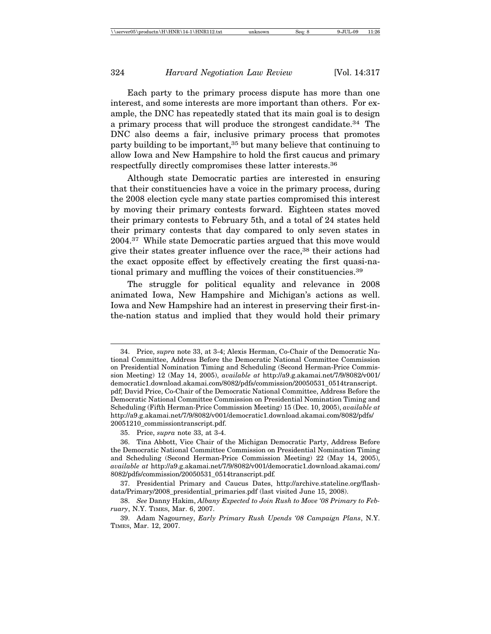Each party to the primary process dispute has more than one interest, and some interests are more important than others. For example, the DNC has repeatedly stated that its main goal is to design a primary process that will produce the strongest candidate.34 The DNC also deems a fair, inclusive primary process that promotes party building to be important,<sup>35</sup> but many believe that continuing to allow Iowa and New Hampshire to hold the first caucus and primary respectfully directly compromises these latter interests.36

Although state Democratic parties are interested in ensuring that their constituencies have a voice in the primary process, during the 2008 election cycle many state parties compromised this interest by moving their primary contests forward. Eighteen states moved their primary contests to February 5th, and a total of 24 states held their primary contests that day compared to only seven states in 2004.37 While state Democratic parties argued that this move would give their states greater influence over the race,<sup>38</sup> their actions had the exact opposite effect by effectively creating the first quasi-national primary and muffling the voices of their constituencies.<sup>39</sup>

The struggle for political equality and relevance in 2008 animated Iowa, New Hampshire and Michigan's actions as well. Iowa and New Hampshire had an interest in preserving their first-inthe-nation status and implied that they would hold their primary

<sup>34.</sup> Price, *supra* note 33, at 3-4; Alexis Herman, Co-Chair of the Democratic National Committee, Address Before the Democratic National Committee Commission on Presidential Nomination Timing and Scheduling (Second Herman-Price Commission Meeting) 12 (May 14, 2005), *available at* http://a9.g.akamai.net/7/9/8082/v001/ democratic1.download.akamai.com/8082/pdfs/commission/20050531\_0514transcript. pdf; David Price, Co-Chair of the Democratic National Committee, Address Before the Democratic National Committee Commission on Presidential Nomination Timing and Scheduling (Fifth Herman-Price Commission Meeting) 15 (Dec. 10, 2005), *available at* http://a9.g.akamai.net/7/9/8082/v001/democratic1.download.akamai.com/8082/pdfs/ 20051210\_commissiontranscript.pdf.

<sup>35.</sup> Price, *supra* note 33, at 3-4.

<sup>36.</sup> Tina Abbott, Vice Chair of the Michigan Democratic Party, Address Before the Democratic National Committee Commission on Presidential Nomination Timing and Scheduling (Second Herman-Price Commission Meeting) 22 (May 14, 2005), *available at* http://a9.g.akamai.net/7/9/8082/v001/democratic1.download.akamai.com/ 8082/pdfs/commission/20050531\_0514transcript.pdf*.*

<sup>37.</sup> Presidential Primary and Caucus Dates, http://archive.stateline.org/flashdata/Primary/2008\_presidential\_primaries.pdf (last visited June 15, 2008).

<sup>38.</sup> *See* Danny Hakim, *Albany Expected to Join Rush to Move '08 Primary to February*, N.Y. TIMES, Mar. 6, 2007.

<sup>39.</sup> Adam Nagourney, *Early Primary Rush Upends '08 Campaign Plans*, N.Y. TIMES, Mar. 12, 2007.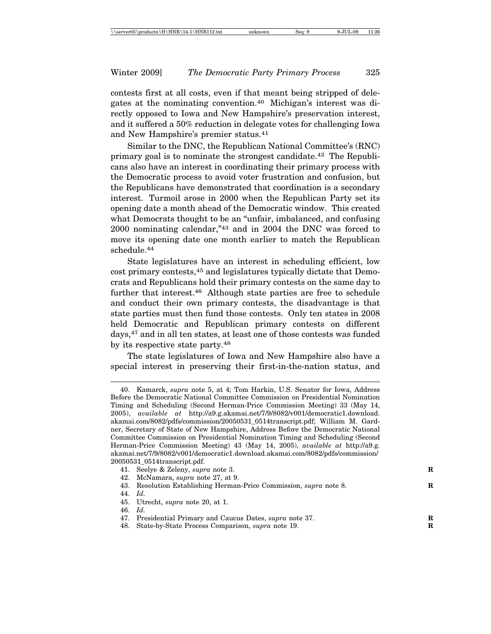contests first at all costs, even if that meant being stripped of delegates at the nominating convention.40 Michigan's interest was directly opposed to Iowa and New Hampshire's preservation interest, and it suffered a 50% reduction in delegate votes for challenging Iowa and New Hampshire's premier status.41

Similar to the DNC, the Republican National Committee's (RNC) primary goal is to nominate the strongest candidate.42 The Republicans also have an interest in coordinating their primary process with the Democratic process to avoid voter frustration and confusion, but the Republicans have demonstrated that coordination is a secondary interest. Turmoil arose in 2000 when the Republican Party set its opening date a month ahead of the Democratic window. This created what Democrats thought to be an "unfair, imbalanced, and confusing 2000 nominating calendar,"43 and in 2004 the DNC was forced to move its opening date one month earlier to match the Republican schedule.44

State legislatures have an interest in scheduling efficient, low cost primary contests,45 and legislatures typically dictate that Democrats and Republicans hold their primary contests on the same day to further that interest.46 Although state parties are free to schedule and conduct their own primary contests, the disadvantage is that state parties must then fund those contests. Only ten states in 2008 held Democratic and Republican primary contests on different days,47 and in all ten states, at least one of those contests was funded by its respective state party.<sup>48</sup>

The state legislatures of Iowa and New Hampshire also have a special interest in preserving their first-in-the-nation status, and

- 41. Seelye & Zeleny, *supra* note 3. **R**
- 42. McNamara, *supra* note 27, at 9.
- 43. Resolution Establishing Herman-Price Commission, *supra* note 8. **R**
- 44. *Id.*
- 45. Utrecht, *supra* note 20, at 1.
- 46. *Id.*
- 47. Presidential Primary and Caucus Dates, *supra* note 37. **R**
- 48. State-by-State Process Comparison, *supra* note 19. **R**

<sup>40.</sup> Kamarck, *supra* note 5, at 4; Tom Harkin, U.S. Senator for Iowa, Address Before the Democratic National Committee Commission on Presidential Nomination Timing and Scheduling (Second Herman-Price Commission Meeting) 33 (May 14, 2005), *available at* http://a9.g.akamai.net/7/9/8082/v001/democratic1.download. akamai.com/8082/pdfs/commission/20050531\_0514transcript.pdf; William M. Gardner, Secretary of State of New Hampshire, Address Before the Democratic National Committee Commission on Presidential Nomination Timing and Scheduling (Second Herman-Price Commission Meeting) 43 (May 14, 2005), *available at* http://a9.g. akamai.net/7/9/8082/v001/democratic1.download.akamai.com/8082/pdfs/commission/ 20050531\_0514transcript.pdf.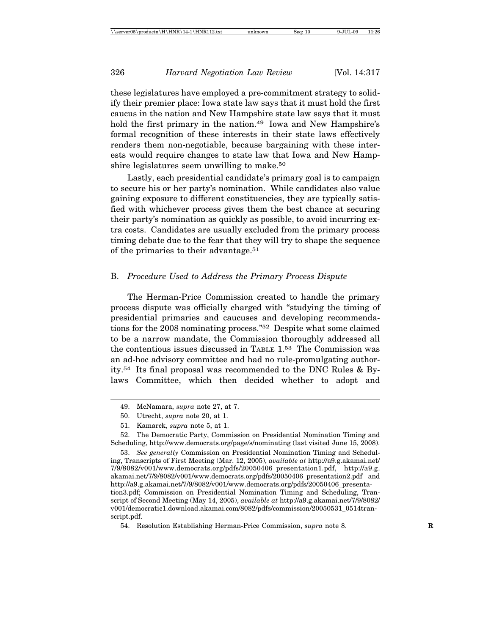these legislatures have employed a pre-commitment strategy to solidify their premier place: Iowa state law says that it must hold the first caucus in the nation and New Hampshire state law says that it must hold the first primary in the nation.<sup>49</sup> Iowa and New Hampshire's formal recognition of these interests in their state laws effectively renders them non-negotiable, because bargaining with these interests would require changes to state law that Iowa and New Hampshire legislatures seem unwilling to make.<sup>50</sup>

Lastly, each presidential candidate's primary goal is to campaign to secure his or her party's nomination. While candidates also value gaining exposure to different constituencies, they are typically satisfied with whichever process gives them the best chance at securing their party's nomination as quickly as possible, to avoid incurring extra costs. Candidates are usually excluded from the primary process timing debate due to the fear that they will try to shape the sequence of the primaries to their advantage.<sup>51</sup>

#### B. *Procedure Used to Address the Primary Process Dispute*

The Herman-Price Commission created to handle the primary process dispute was officially charged with "studying the timing of presidential primaries and caucuses and developing recommendations for the 2008 nominating process."52 Despite what some claimed to be a narrow mandate, the Commission thoroughly addressed all the contentious issues discussed in TABLE 1.53 The Commission was an ad-hoc advisory committee and had no rule-promulgating authority.54 Its final proposal was recommended to the DNC Rules & Bylaws Committee, which then decided whether to adopt and

<sup>49.</sup> McNamara, *supra* note 27, at 7.

<sup>50.</sup> Utrecht, *supra* note 20, at 1.

<sup>51.</sup> Kamarck, *supra* note 5, at 1.

<sup>52.</sup> The Democratic Party, Commission on Presidential Nomination Timing and Scheduling, http://www.democrats.org/page/s/nominating (last visited June 15, 2008).

<sup>53.</sup> *See generally* Commission on Presidential Nomination Timing and Scheduling, Transcripts of First Meeting (Mar. 12, 2005), *available at* http://a9.g.akamai.net/ 7/9/8082/v001/www.democrats.org/pdfs/20050406\_presentation1.pdf, http://a9.g. akamai.net/7/9/8082/v001/www.democrats.org/pdfs/20050406\_presentation2.pdf and http://a9.g.akamai.net/7/9/8082/v001/www.democrats.org/pdfs/20050406\_presentation3.pdf; Commission on Presidential Nomination Timing and Scheduling, Transcript of Second Meeting (May 14, 2005), *available at* http://a9.g.akamai.net/7/9/8082/ v001/democratic1.download.akamai.com/8082/pdfs/commission/20050531\_0514transcript.pdf.

<sup>54.</sup> Resolution Establishing Herman-Price Commission, *supra* note 8. **R**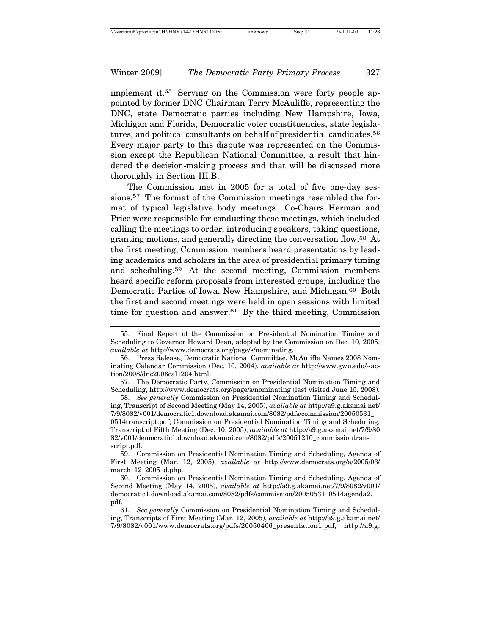implement it.55 Serving on the Commission were forty people appointed by former DNC Chairman Terry McAuliffe, representing the DNC, state Democratic parties including New Hampshire, Iowa, Michigan and Florida, Democratic voter constituencies, state legislatures, and political consultants on behalf of presidential candidates.<sup>56</sup> Every major party to this dispute was represented on the Commission except the Republican National Committee, a result that hindered the decision-making process and that will be discussed more thoroughly in Section III.B.

The Commission met in 2005 for a total of five one-day sessions.57 The format of the Commission meetings resembled the format of typical legislative body meetings. Co-Chairs Herman and Price were responsible for conducting these meetings, which included calling the meetings to order, introducing speakers, taking questions, granting motions, and generally directing the conversation flow.58 At the first meeting, Commission members heard presentations by leading academics and scholars in the area of presidential primary timing and scheduling.59 At the second meeting, Commission members heard specific reform proposals from interested groups, including the Democratic Parties of Iowa, New Hampshire, and Michigan.<sup>60</sup> Both the first and second meetings were held in open sessions with limited time for question and answer.<sup>61</sup> By the third meeting, Commission

<sup>55.</sup> Final Report of the Commission on Presidential Nomination Timing and Scheduling to Governor Howard Dean, adopted by the Commission on Dec. 10, 2005, *available at* http://www.democrats.org/page/s/nominating.

<sup>56.</sup> Press Release, Democratic National Committee, McAuliffe Names 2008 Nominating Calendar Commission (Dec. 10, 2004), *available at* http://www.gwu.edu/~action/2008/dnc2008cal1204.html.

<sup>57.</sup> The Democratic Party, Commission on Presidential Nomination Timing and Scheduling, http://www.democrats.org/page/s/nominating (last visited June 15, 2008).

<sup>58.</sup> *See generally* Commission on Presidential Nomination Timing and Scheduling, Transcript of Second Meeting (May 14, 2005), *available at* http://a9.g.akamai.net/ 7/9/8082/v001/democratic1.download.akamai.com/8082/pdfs/commission/20050531\_ 0514transcript.pdf; Commission on Presidential Nomination Timing and Scheduling, Transcript of Fifth Meeting (Dec. 10, 2005), *available at* http://a9.g.akamai.net/7/9/80 82/v001/democratic1.download.akamai.com/8082/pdfs/20051210\_commissiontranscript.pdf.

<sup>59.</sup> Commission on Presidential Nomination Timing and Scheduling, Agenda of First Meeting (Mar. 12, 2005), *available at* http://www.democrats.org/a/2005/03/ march\_12\_2005\_d.php.

<sup>60.</sup> Commission on Presidential Nomination Timing and Scheduling, Agenda of Second Meeting (May 14, 2005), *available at* http://a9.g.akamai.net/7/9/8082/v001/ democratic1.download.akamai.com/8082/pdfs/commission/20050531\_0514agenda2. pdf.

<sup>61.</sup> *See generally* Commission on Presidential Nomination Timing and Scheduling, Transcripts of First Meeting (Mar. 12, 2005), *available at* http://a9.g.akamai.net/ 7/9/8082/v001/www.democrats.org/pdfs/20050406\_presentation1.pdf, http://a9.g.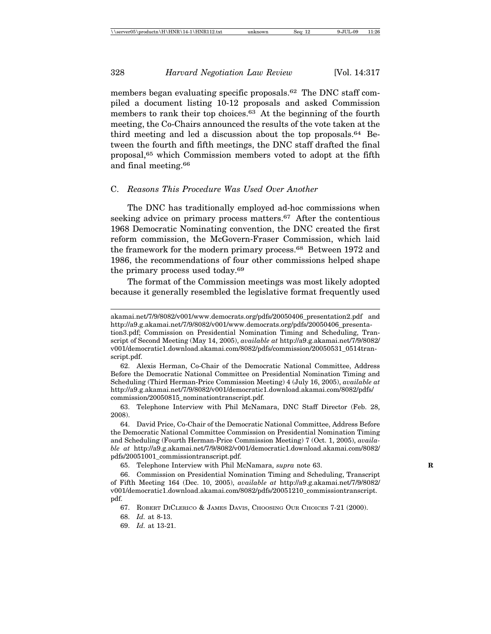members began evaluating specific proposals.<sup>62</sup> The DNC staff compiled a document listing 10-12 proposals and asked Commission members to rank their top choices.<sup>63</sup> At the beginning of the fourth meeting, the Co-Chairs announced the results of the vote taken at the third meeting and led a discussion about the top proposals.64 Between the fourth and fifth meetings, the DNC staff drafted the final proposal,65 which Commission members voted to adopt at the fifth and final meeting.66

# C. *Reasons This Procedure Was Used Over Another*

The DNC has traditionally employed ad-hoc commissions when seeking advice on primary process matters.<sup>67</sup> After the contentious 1968 Democratic Nominating convention, the DNC created the first reform commission, the McGovern-Fraser Commission, which laid the framework for the modern primary process.<sup>68</sup> Between 1972 and 1986, the recommendations of four other commissions helped shape the primary process used today.69

The format of the Commission meetings was most likely adopted because it generally resembled the legislative format frequently used

62. Alexis Herman, Co-Chair of the Democratic National Committee, Address Before the Democratic National Committee on Presidential Nomination Timing and Scheduling (Third Herman-Price Commission Meeting) 4 (July 16, 2005), *available at* http://a9.g.akamai.net/7/9/8082/v001/democratic1.download.akamai.com/8082/pdfs/ commission/20050815\_nominationtranscript.pdf.

63. Telephone Interview with Phil McNamara, DNC Staff Director (Feb. 28, 2008).

64. David Price, Co-Chair of the Democratic National Committee, Address Before the Democratic National Committee Commission on Presidential Nomination Timing and Scheduling (Fourth Herman-Price Commission Meeting) 7 (Oct. 1, 2005), *available at* http://a9.g.akamai.net/7/9/8082/v001/democratic1.download.akamai.com/8082/ pdfs/20051001\_commissiontranscript.pdf.

65. Telephone Interview with Phil McNamara, *supra* note 63. **R**

68. *Id.* at 8-13.

69. *Id.* at 13-21.

akamai.net/7/9/8082/v001/www.democrats.org/pdfs/20050406\_presentation2.pdf and http://a9.g.akamai.net/7/9/8082/v001/www.democrats.org/pdfs/20050406\_presenta-

tion3.pdf; Commission on Presidential Nomination Timing and Scheduling, Transcript of Second Meeting (May 14, 2005), *available at* http://a9.g.akamai.net/7/9/8082/ v001/democratic1.download.akamai.com/8082/pdfs/commission/20050531\_0514transcript.pdf.

<sup>66.</sup> Commission on Presidential Nomination Timing and Scheduling, Transcript of Fifth Meeting 164 (Dec. 10, 2005), *available at* http://a9.g.akamai.net/7/9/8082/ v001/democratic1.download.akamai.com/8082/pdfs/20051210\_commissiontranscript. pdf.

<sup>67.</sup> ROBERT DICLERICO & JAMES DAVIS, CHOOSING OUR CHOICES 7-21 (2000).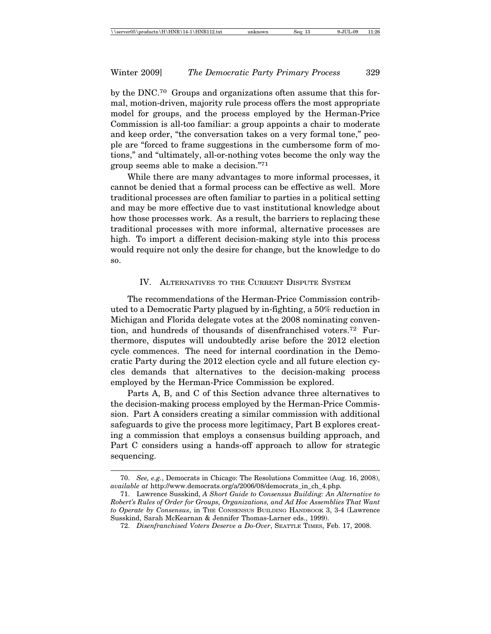by the DNC.70 Groups and organizations often assume that this formal, motion-driven, majority rule process offers the most appropriate model for groups, and the process employed by the Herman-Price Commission is all-too familiar: a group appoints a chair to moderate and keep order, "the conversation takes on a very formal tone," people are "forced to frame suggestions in the cumbersome form of motions," and "ultimately, all-or-nothing votes become the only way the group seems able to make a decision."71

While there are many advantages to more informal processes, it cannot be denied that a formal process can be effective as well. More traditional processes are often familiar to parties in a political setting and may be more effective due to vast institutional knowledge about how those processes work. As a result, the barriers to replacing these traditional processes with more informal, alternative processes are high. To import a different decision-making style into this process would require not only the desire for change, but the knowledge to do so.

# IV. ALTERNATIVES TO THE CURRENT DISPUTE SYSTEM

The recommendations of the Herman-Price Commission contributed to a Democratic Party plagued by in-fighting, a 50% reduction in Michigan and Florida delegate votes at the 2008 nominating convention, and hundreds of thousands of disenfranchised voters.72 Furthermore, disputes will undoubtedly arise before the 2012 election cycle commences. The need for internal coordination in the Democratic Party during the 2012 election cycle and all future election cycles demands that alternatives to the decision-making process employed by the Herman-Price Commission be explored.

Parts A, B, and C of this Section advance three alternatives to the decision-making process employed by the Herman-Price Commission. Part A considers creating a similar commission with additional safeguards to give the process more legitimacy, Part B explores creating a commission that employs a consensus building approach, and Part C considers using a hands-off approach to allow for strategic sequencing.

<sup>70.</sup> *See, e.g.*, Democrats in Chicago: The Resolutions Committee (Aug. 16, 2008), *available at* http://www.democrats.org/a/2006/08/democrats\_in\_ch\_4.php.

<sup>71.</sup> Lawrence Susskind, *A Short Guide to Consensus Building: An Alternative to Robert's Rules of Order for Groups, Organizations, and Ad Hoc Assemblies That Want to Operate by Consensus*, in THE CONSENSUS BUILDING HANDBOOK 3, 3-4 (Lawrence Susskind, Sarah McKearnan & Jennifer Thomas-Larner eds., 1999).

<sup>72.</sup> *Disenfranchised Voters Deserve a Do-Over*, SEATTLE TIMES, Feb. 17, 2008.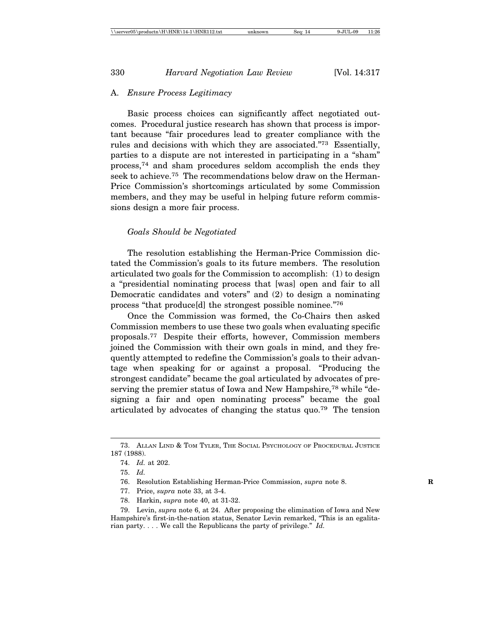# A. *Ensure Process Legitimacy*

Basic process choices can significantly affect negotiated outcomes. Procedural justice research has shown that process is important because "fair procedures lead to greater compliance with the rules and decisions with which they are associated."73 Essentially, parties to a dispute are not interested in participating in a "sham" process,74 and sham procedures seldom accomplish the ends they seek to achieve.<sup>75</sup> The recommendations below draw on the Herman-Price Commission's shortcomings articulated by some Commission members, and they may be useful in helping future reform commissions design a more fair process.

## *Goals Should be Negotiated*

The resolution establishing the Herman-Price Commission dictated the Commission's goals to its future members. The resolution articulated two goals for the Commission to accomplish: (1) to design a "presidential nominating process that [was] open and fair to all Democratic candidates and voters" and (2) to design a nominating process "that produce[d] the strongest possible nominee."76

Once the Commission was formed, the Co-Chairs then asked Commission members to use these two goals when evaluating specific proposals.77 Despite their efforts, however, Commission members joined the Commission with their own goals in mind, and they frequently attempted to redefine the Commission's goals to their advantage when speaking for or against a proposal. "Producing the strongest candidate" became the goal articulated by advocates of preserving the premier status of Iowa and New Hampshire,<sup>78</sup> while "designing a fair and open nominating process" became the goal articulated by advocates of changing the status quo.79 The tension

- 77. Price, *supra* note 33, at 3-4.
- 78. Harkin, *supra* note 40, at 31-32.

79. Levin, *supra* note 6, at 24. After proposing the elimination of Iowa and New Hampshire's first-in-the-nation status, Senator Levin remarked, "This is an egalitarian party. . . . We call the Republicans the party of privilege." *Id.*

<sup>73.</sup> ALLAN LIND & TOM TYLER, THE SOCIAL PSYCHOLOGY OF PROCEDURAL JUSTICE 187 (1988).

<sup>74.</sup> *Id.* at 202.

<sup>75.</sup> *Id.*

<sup>76.</sup> Resolution Establishing Herman-Price Commission, *supra* note 8.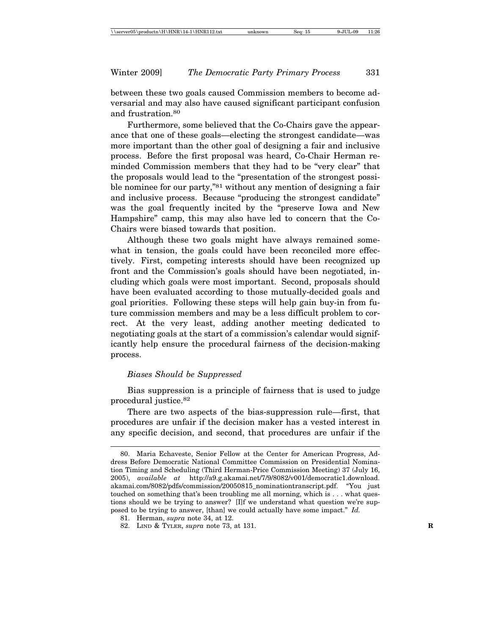between these two goals caused Commission members to become adversarial and may also have caused significant participant confusion and frustration.80

Furthermore, some believed that the Co-Chairs gave the appearance that one of these goals—electing the strongest candidate—was more important than the other goal of designing a fair and inclusive process. Before the first proposal was heard, Co-Chair Herman reminded Commission members that they had to be "very clear" that the proposals would lead to the "presentation of the strongest possible nominee for our party,<sup>"81</sup> without any mention of designing a fair and inclusive process. Because "producing the strongest candidate" was the goal frequently incited by the "preserve Iowa and New Hampshire" camp, this may also have led to concern that the Co-Chairs were biased towards that position.

Although these two goals might have always remained somewhat in tension, the goals could have been reconciled more effectively. First, competing interests should have been recognized up front and the Commission's goals should have been negotiated, including which goals were most important. Second, proposals should have been evaluated according to those mutually-decided goals and goal priorities. Following these steps will help gain buy-in from future commission members and may be a less difficult problem to correct. At the very least, adding another meeting dedicated to negotiating goals at the start of a commission's calendar would significantly help ensure the procedural fairness of the decision-making process.

# *Biases Should be Suppressed*

Bias suppression is a principle of fairness that is used to judge procedural justice.82

There are two aspects of the bias-suppression rule—first, that procedures are unfair if the decision maker has a vested interest in any specific decision, and second, that procedures are unfair if the

<sup>80.</sup> Maria Echaveste, Senior Fellow at the Center for American Progress, Address Before Democratic National Committee Commission on Presidential Nomination Timing and Scheduling (Third Herman-Price Commission Meeting) 37 (July 16, 2005), *available at* http://a9.g.akamai.net/7/9/8082/v001/democratic1.download. akamai.com/8082/pdfs/commission/20050815\_nominationtranscript.pdf. "You just touched on something that's been troubling me all morning, which is . . . what questions should we be trying to answer? [I]f we understand what question we're supposed to be trying to answer, [than] we could actually have some impact." *Id.*

<sup>81.</sup> Herman, *supra* note 34, at 12.

<sup>82.</sup> LIND & TYLER, *supra* note 73, at 131. **R**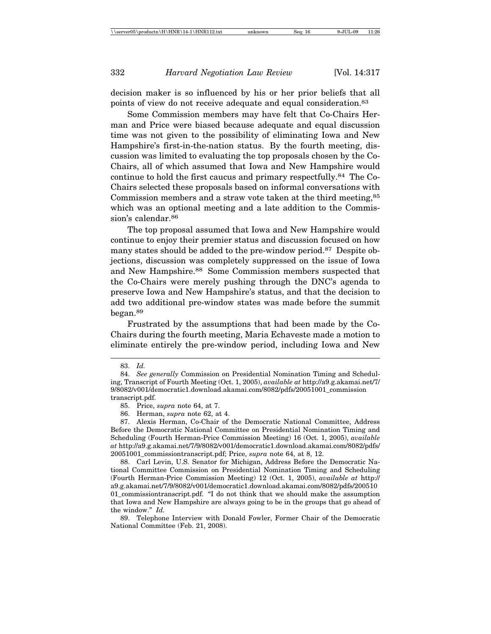decision maker is so influenced by his or her prior beliefs that all points of view do not receive adequate and equal consideration.83

Some Commission members may have felt that Co-Chairs Herman and Price were biased because adequate and equal discussion time was not given to the possibility of eliminating Iowa and New Hampshire's first-in-the-nation status. By the fourth meeting, discussion was limited to evaluating the top proposals chosen by the Co-Chairs, all of which assumed that Iowa and New Hampshire would continue to hold the first caucus and primary respectfully.84 The Co-Chairs selected these proposals based on informal conversations with Commission members and a straw vote taken at the third meeting,<sup>85</sup> which was an optional meeting and a late addition to the Commission's calendar.<sup>86</sup>

The top proposal assumed that Iowa and New Hampshire would continue to enjoy their premier status and discussion focused on how many states should be added to the pre-window period.<sup>87</sup> Despite objections, discussion was completely suppressed on the issue of Iowa and New Hampshire.<sup>88</sup> Some Commission members suspected that the Co-Chairs were merely pushing through the DNC's agenda to preserve Iowa and New Hampshire's status, and that the decision to add two additional pre-window states was made before the summit began.89

Frustrated by the assumptions that had been made by the Co-Chairs during the fourth meeting, Maria Echaveste made a motion to eliminate entirely the pre-window period, including Iowa and New

<sup>83.</sup> *Id.*

<sup>84.</sup> *See generally* Commission on Presidential Nomination Timing and Scheduling, Transcript of Fourth Meeting (Oct. 1, 2005), *available at* http://a9.g.akamai.net/7/ 9/8082/v001/democratic1.download.akamai.com/8082/pdfs/20051001\_commission transcript.pdf.

<sup>85.</sup> Price, *supra* note 64, at 7.

<sup>86.</sup> Herman, *supra* note 62, at 4.

<sup>87.</sup> Alexis Herman, Co-Chair of the Democratic National Committee, Address Before the Democratic National Committee on Presidential Nomination Timing and Scheduling (Fourth Herman-Price Commission Meeting) 16 (Oct. 1, 2005), *available at* http://a9.g.akamai.net/7/9/8082/v001/democratic1.download.akamai.com/8082/pdfs/ 20051001\_commissiontranscript.pdf; Price, *supra* note 64, at 8, 12.

<sup>88.</sup> Carl Levin, U.S. Senator for Michigan, Address Before the Democratic National Committee Commission on Presidential Nomination Timing and Scheduling (Fourth Herman-Price Commission Meeting) 12 (Oct. 1, 2005), *available at* http:// a9.g.akamai.net/7/9/8082/v001/democratic1.download.akamai.com/8082/pdfs/200510 01\_commissiontranscript.pdf. "I do not think that we should make the assumption that Iowa and New Hampshire are always going to be in the groups that go ahead of the window." *Id.*

<sup>89.</sup> Telephone Interview with Donald Fowler, Former Chair of the Democratic National Committee (Feb. 21, 2008).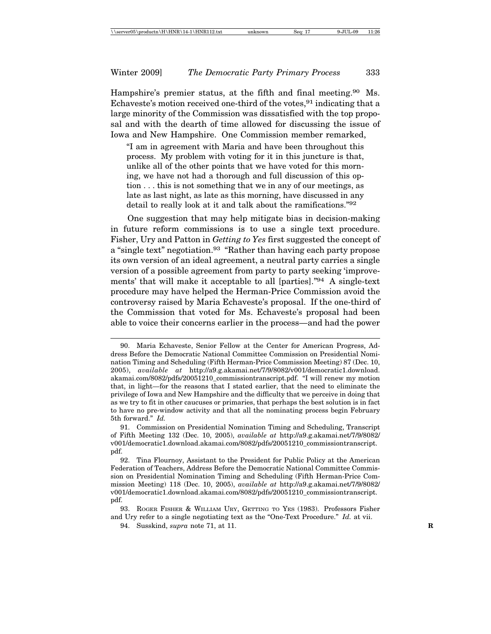Hampshire's premier status, at the fifth and final meeting.<sup>90</sup> Ms. Echaveste's motion received one-third of the votes,  $91$  indicating that a large minority of the Commission was dissatisfied with the top proposal and with the dearth of time allowed for discussing the issue of Iowa and New Hampshire. One Commission member remarked,

"I am in agreement with Maria and have been throughout this process. My problem with voting for it in this juncture is that, unlike all of the other points that we have voted for this morning, we have not had a thorough and full discussion of this option . . . this is not something that we in any of our meetings, as late as last night, as late as this morning, have discussed in any detail to really look at it and talk about the ramifications."92

One suggestion that may help mitigate bias in decision-making in future reform commissions is to use a single text procedure. Fisher, Ury and Patton in *Getting to Yes* first suggested the concept of a "single text" negotiation.<sup>93</sup> "Rather than having each party propose its own version of an ideal agreement, a neutral party carries a single version of a possible agreement from party to party seeking 'improvements' that will make it acceptable to all [parties]."94 A single-text procedure may have helped the Herman-Price Commission avoid the controversy raised by Maria Echaveste's proposal. If the one-third of the Commission that voted for Ms. Echaveste's proposal had been able to voice their concerns earlier in the process—and had the power

94. Susskind, *supra* note 71, at 11. **R**

<sup>90.</sup> Maria Echaveste, Senior Fellow at the Center for American Progress, Address Before the Democratic National Committee Commission on Presidential Nomination Timing and Scheduling (Fifth Herman-Price Commission Meeting) 87 (Dec. 10, 2005), *available at* http://a9.g.akamai.net/7/9/8082/v001/democratic1.download. akamai.com/8082/pdfs/20051210\_commissiontranscript.pdf. "I will renew my motion that, in light—for the reasons that I stated earlier, that the need to eliminate the privilege of Iowa and New Hampshire and the difficulty that we perceive in doing that as we try to fit in other caucuses or primaries, that perhaps the best solution is in fact to have no pre-window activity and that all the nominating process begin February 5th forward." *Id.*

<sup>91.</sup> Commission on Presidential Nomination Timing and Scheduling, Transcript of Fifth Meeting 132 (Dec. 10, 2005), *available at* http://a9.g.akamai.net/7/9/8082/ v001/democratic1.download.akamai.com/8082/pdfs/20051210\_commissiontranscript. pdf.

<sup>92.</sup> Tina Flournoy, Assistant to the President for Public Policy at the American Federation of Teachers, Address Before the Democratic National Committee Commission on Presidential Nomination Timing and Scheduling (Fifth Herman-Price Commission Meeting) 118 (Dec. 10, 2005), *available at* http://a9.g.akamai.net/7/9/8082/ v001/democratic1.download.akamai.com/8082/pdfs/20051210\_commissiontranscript. pdf.

<sup>93.</sup> ROGER FISHER & WILLIAM URY, GETTING TO YES (1983). Professors Fisher and Ury refer to a single negotiating text as the "One-Text Procedure." *Id.* at vii.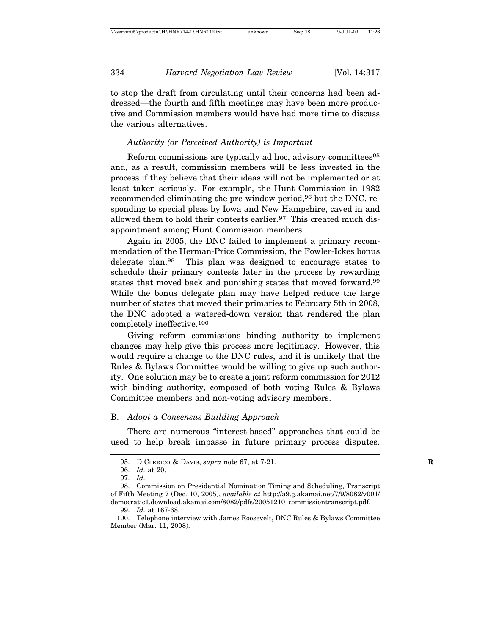to stop the draft from circulating until their concerns had been addressed—the fourth and fifth meetings may have been more productive and Commission members would have had more time to discuss the various alternatives.

## *Authority (or Perceived Authority) is Important*

Reform commissions are typically ad hoc, advisory committees<sup>95</sup> and, as a result, commission members will be less invested in the process if they believe that their ideas will not be implemented or at least taken seriously. For example, the Hunt Commission in 1982 recommended eliminating the pre-window period,<sup>96</sup> but the DNC, responding to special pleas by Iowa and New Hampshire, caved in and allowed them to hold their contests earlier.<sup>97</sup> This created much disappointment among Hunt Commission members.

Again in 2005, the DNC failed to implement a primary recommendation of the Herman-Price Commission, the Fowler-Ickes bonus delegate plan.98 This plan was designed to encourage states to schedule their primary contests later in the process by rewarding states that moved back and punishing states that moved forward.99 While the bonus delegate plan may have helped reduce the large number of states that moved their primaries to February 5th in 2008, the DNC adopted a watered-down version that rendered the plan completely ineffective.100

Giving reform commissions binding authority to implement changes may help give this process more legitimacy. However, this would require a change to the DNC rules, and it is unlikely that the Rules & Bylaws Committee would be willing to give up such authority. One solution may be to create a joint reform commission for 2012 with binding authority, composed of both voting Rules & Bylaws Committee members and non-voting advisory members.

#### B. *Adopt a Consensus Building Approach*

There are numerous "interest-based" approaches that could be used to help break impasse in future primary process disputes.

99. *Id.* at 167-68.

<sup>95.</sup> DICLERICO & DAVIS, *supra* note 67, at 7-21. **R**

<sup>96.</sup> *Id.* at 20.

<sup>97.</sup> *Id.*

<sup>98.</sup> Commission on Presidential Nomination Timing and Scheduling, Transcript of Fifth Meeting 7 (Dec. 10, 2005), *available at* http://a9.g.akamai.net/7/9/8082/v001/ democratic1.download.akamai.com/8082/pdfs/20051210\_commissiontranscript.pdf.

<sup>100.</sup> Telephone interview with James Roosevelt, DNC Rules & Bylaws Committee Member (Mar. 11, 2008).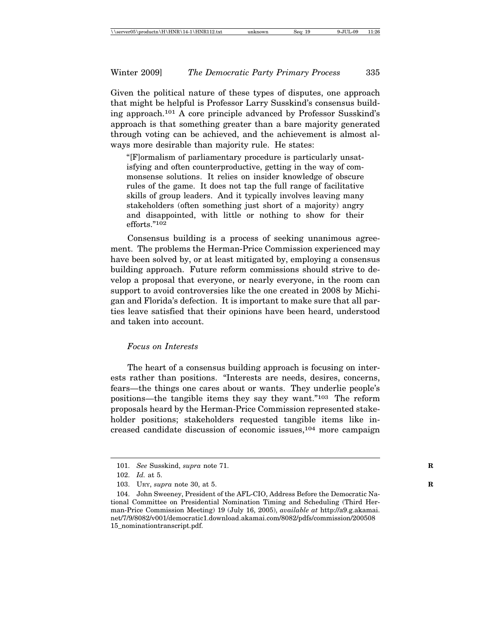Given the political nature of these types of disputes, one approach that might be helpful is Professor Larry Susskind's consensus building approach.101 A core principle advanced by Professor Susskind's approach is that something greater than a bare majority generated through voting can be achieved, and the achievement is almost always more desirable than majority rule. He states:

"[F]ormalism of parliamentary procedure is particularly unsatisfying and often counterproductive, getting in the way of commonsense solutions. It relies on insider knowledge of obscure rules of the game. It does not tap the full range of facilitative skills of group leaders. And it typically involves leaving many stakeholders (often something just short of a majority) angry and disappointed, with little or nothing to show for their efforts."102

Consensus building is a process of seeking unanimous agreement. The problems the Herman-Price Commission experienced may have been solved by, or at least mitigated by, employing a consensus building approach. Future reform commissions should strive to develop a proposal that everyone, or nearly everyone, in the room can support to avoid controversies like the one created in 2008 by Michigan and Florida's defection. It is important to make sure that all parties leave satisfied that their opinions have been heard, understood and taken into account.

#### *Focus on Interests*

The heart of a consensus building approach is focusing on interests rather than positions. "Interests are needs, desires, concerns, fears—the things one cares about or wants. They underlie people's positions—the tangible items they say they want."103 The reform proposals heard by the Herman-Price Commission represented stakeholder positions; stakeholders requested tangible items like increased candidate discussion of economic issues,<sup>104</sup> more campaign

<sup>101.</sup> *See* Susskind, *supra* note 71.

<sup>102.</sup> *Id.* at 5.

<sup>103.</sup> URY, *supra* note 30, at 5. **R**

<sup>104.</sup> John Sweeney, President of the AFL-CIO, Address Before the Democratic National Committee on Presidential Nomination Timing and Scheduling (Third Herman-Price Commission Meeting) 19 (July 16, 2005), *available at* http://a9.g.akamai. net/7/9/8082/v001/democratic1.download.akamai.com/8082/pdfs/commission/200508 15\_nominationtranscript.pdf.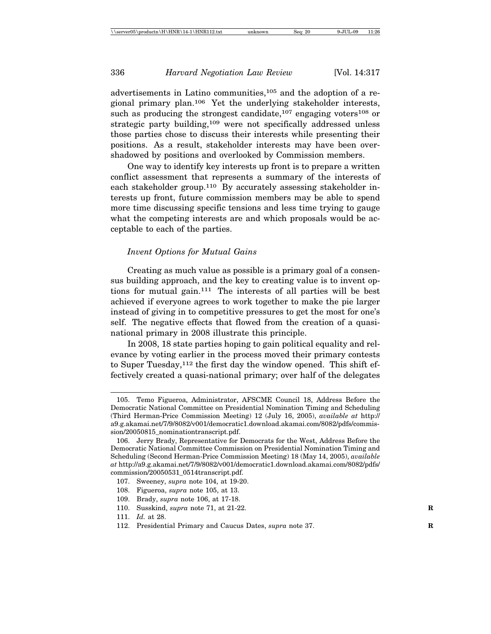advertisements in Latino communities,<sup>105</sup> and the adoption of a regional primary plan.106 Yet the underlying stakeholder interests, such as producing the strongest candidate,  $107$  engaging voters  $108$  or strategic party building,<sup>109</sup> were not specifically addressed unless those parties chose to discuss their interests while presenting their positions. As a result, stakeholder interests may have been overshadowed by positions and overlooked by Commission members.

One way to identify key interests up front is to prepare a written conflict assessment that represents a summary of the interests of each stakeholder group.<sup>110</sup> By accurately assessing stakeholder interests up front, future commission members may be able to spend more time discussing specific tensions and less time trying to gauge what the competing interests are and which proposals would be acceptable to each of the parties.

## *Invent Options for Mutual Gains*

Creating as much value as possible is a primary goal of a consensus building approach, and the key to creating value is to invent options for mutual gain.111 The interests of all parties will be best achieved if everyone agrees to work together to make the pie larger instead of giving in to competitive pressures to get the most for one's self. The negative effects that flowed from the creation of a quasinational primary in 2008 illustrate this principle.

In 2008, 18 state parties hoping to gain political equality and relevance by voting earlier in the process moved their primary contests to Super Tuesday,<sup>112</sup> the first day the window opened. This shift effectively created a quasi-national primary; over half of the delegates

<sup>105.</sup> Temo Figueroa, Administrator, AFSCME Council 18, Address Before the Democratic National Committee on Presidential Nomination Timing and Scheduling (Third Herman-Price Commission Meeting) 12 (July 16, 2005), *available at* http:// a9.g.akamai.net/7/9/8082/v001/democratic1.download.akamai.com/8082/pdfs/commission/20050815\_nominationtranscript.pdf.

<sup>106.</sup> Jerry Brady, Representative for Democrats for the West, Address Before the Democratic National Committee Commission on Presidential Nomination Timing and Scheduling (Second Herman-Price Commission Meeting) 18 (May 14, 2005), *available at* http://a9.g.akamai.net/7/9/8082/v001/democratic1.download.akamai.com/8082/pdfs/ commission/20050531\_0514transcript.pdf.

<sup>107.</sup> Sweeney, *supra* note 104, at 19-20.

<sup>108.</sup> Figueroa, *supra* note 105, at 13.

<sup>109.</sup> Brady, *supra* note 106, at 17-18.

<sup>110.</sup> Susskind, *supra* note 71, at 21-22. **R**

<sup>111.</sup> *Id.* at 28.

<sup>112.</sup> Presidential Primary and Caucus Dates, *supra* note 37. **R**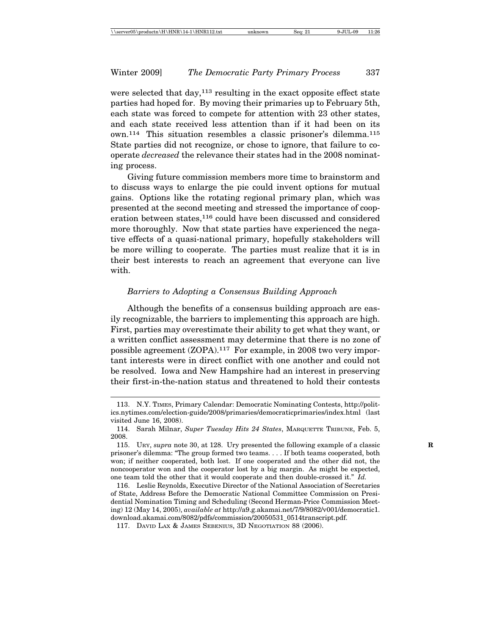were selected that day,<sup>113</sup> resulting in the exact opposite effect state parties had hoped for. By moving their primaries up to February 5th, each state was forced to compete for attention with 23 other states, and each state received less attention than if it had been on its own.114 This situation resembles a classic prisoner's dilemma.115 State parties did not recognize, or chose to ignore, that failure to cooperate *decreased* the relevance their states had in the 2008 nominating process.

Giving future commission members more time to brainstorm and to discuss ways to enlarge the pie could invent options for mutual gains. Options like the rotating regional primary plan, which was presented at the second meeting and stressed the importance of cooperation between states,<sup>116</sup> could have been discussed and considered more thoroughly. Now that state parties have experienced the negative effects of a quasi-national primary, hopefully stakeholders will be more willing to cooperate. The parties must realize that it is in their best interests to reach an agreement that everyone can live with.

# *Barriers to Adopting a Consensus Building Approach*

Although the benefits of a consensus building approach are easily recognizable, the barriers to implementing this approach are high. First, parties may overestimate their ability to get what they want, or a written conflict assessment may determine that there is no zone of possible agreement (ZOPA).117 For example, in 2008 two very important interests were in direct conflict with one another and could not be resolved. Iowa and New Hampshire had an interest in preserving their first-in-the-nation status and threatened to hold their contests

<sup>113.</sup> N.Y. TIMES, Primary Calendar: Democratic Nominating Contests, http://politics.nytimes.com/election-guide/2008/primaries/democraticprimaries/index.html (last visited June 16, 2008).

<sup>114.</sup> Sarah Milnar, *Super Tuesday Hits 24 States*, MARQUETTE TRIBUNE, Feb. 5, 2008.

<sup>115.</sup> URY, *supra* note 30, at 128. Ury presented the following example of a classic **R** prisoner's dilemma: "The group formed two teams. . . . If both teams cooperated, both won; if neither cooperated, both lost. If one cooperated and the other did not, the noncooperator won and the cooperator lost by a big margin. As might be expected, one team told the other that it would cooperate and then double-crossed it." *Id.*

<sup>116.</sup> Leslie Reynolds, Executive Director of the National Association of Secretaries of State, Address Before the Democratic National Committee Commission on Presidential Nomination Timing and Scheduling (Second Herman-Price Commission Meeting) 12 (May 14, 2005), *available at* http://a9.g.akamai.net/7/9/8082/v001/democratic1. download.akamai.com/8082/pdfs/commission/20050531\_0514transcript.pdf.

<sup>117.</sup> DAVID LAX & JAMES SEBENIUS, 3D NEGOTIATION 88 (2006).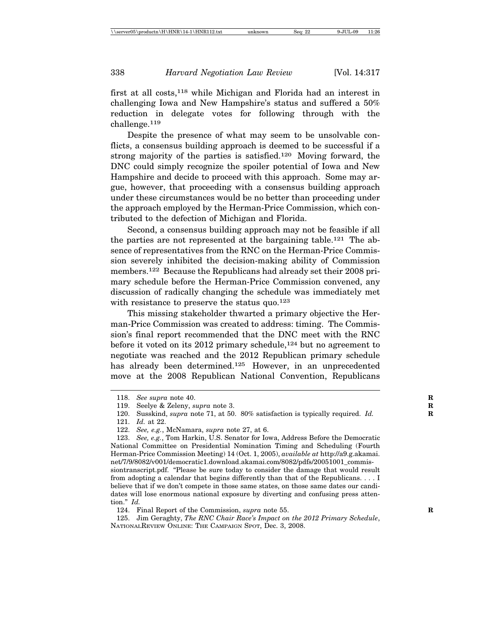first at all costs,118 while Michigan and Florida had an interest in challenging Iowa and New Hampshire's status and suffered a 50% reduction in delegate votes for following through with the challenge.119

Despite the presence of what may seem to be unsolvable conflicts, a consensus building approach is deemed to be successful if a strong majority of the parties is satisfied.<sup>120</sup> Moving forward, the DNC could simply recognize the spoiler potential of Iowa and New Hampshire and decide to proceed with this approach. Some may argue, however, that proceeding with a consensus building approach under these circumstances would be no better than proceeding under the approach employed by the Herman-Price Commission, which contributed to the defection of Michigan and Florida.

Second, a consensus building approach may not be feasible if all the parties are not represented at the bargaining table.121 The absence of representatives from the RNC on the Herman-Price Commission severely inhibited the decision-making ability of Commission members.122 Because the Republicans had already set their 2008 primary schedule before the Herman-Price Commission convened, any discussion of radically changing the schedule was immediately met with resistance to preserve the status quo.<sup>123</sup>

This missing stakeholder thwarted a primary objective the Herman-Price Commission was created to address: timing. The Commission's final report recommended that the DNC meet with the RNC before it voted on its  $2012$  primary schedule,<sup>124</sup> but no agreement to negotiate was reached and the 2012 Republican primary schedule has already been determined.<sup>125</sup> However, in an unprecedented move at the 2008 Republican National Convention, Republicans

125. Jim Geraghty, *The RNC Chair Race's Impact on the 2012 Primary Schedule*, NATIONALREVIEW ONLINE: THE CAMPAIGN SPOT, Dec. 3, 2008.

<sup>118.</sup> *See supra* note 40. **R**

<sup>119.</sup> Seelye & Zeleny, *supra* note 3. **R**

<sup>120.</sup> Susskind, *supra* note 71, at 50. 80% satisfaction is typically required. *Id.* 

<sup>121.</sup> *Id.* at 22.

<sup>122.</sup> *See, e.g.*, McNamara, *supra* note 27, at 6.

<sup>123.</sup> *See, e.g.*, Tom Harkin, U.S. Senator for Iowa, Address Before the Democratic National Committee on Presidential Nomination Timing and Scheduling (Fourth Herman-Price Commission Meeting) 14 (Oct. 1, 2005), *available at* http://a9.g.akamai. net/7/9/8082/v001/democratic1.download.akamai.com/8082/pdfs/20051001\_commissiontranscript.pdf. "Please be sure today to consider the damage that would result from adopting a calendar that begins differently than that of the Republicans. . . . I believe that if we don't compete in those same states, on those same dates our candidates will lose enormous national exposure by diverting and confusing press attention." *Id.*

<sup>124.</sup> Final Report of the Commission, *supra* note 55. **R**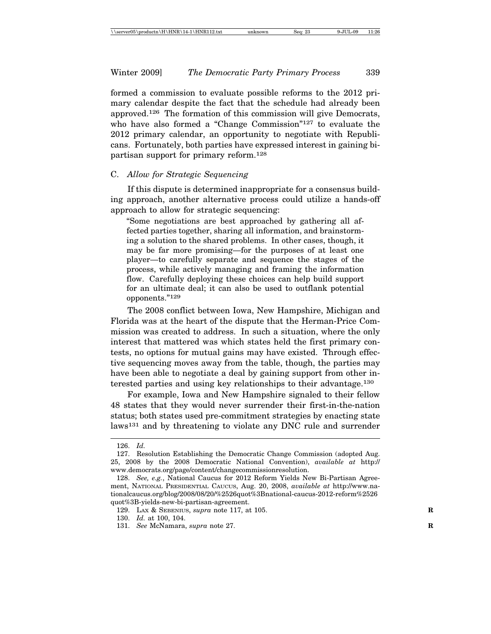Winter 2009] *The Democratic Party Primary Process* 339

formed a commission to evaluate possible reforms to the 2012 primary calendar despite the fact that the schedule had already been approved.126 The formation of this commission will give Democrats, who have also formed a "Change Commission"<sup>127</sup> to evaluate the 2012 primary calendar, an opportunity to negotiate with Republicans. Fortunately, both parties have expressed interest in gaining bipartisan support for primary reform.128

# C. *Allow for Strategic Sequencing*

If this dispute is determined inappropriate for a consensus building approach, another alternative process could utilize a hands-off approach to allow for strategic sequencing:

"Some negotiations are best approached by gathering all affected parties together, sharing all information, and brainstorming a solution to the shared problems. In other cases, though, it may be far more promising—for the purposes of at least one player—to carefully separate and sequence the stages of the process, while actively managing and framing the information flow. Carefully deploying these choices can help build support for an ultimate deal; it can also be used to outflank potential opponents."129

The 2008 conflict between Iowa, New Hampshire, Michigan and Florida was at the heart of the dispute that the Herman-Price Commission was created to address. In such a situation, where the only interest that mattered was which states held the first primary contests, no options for mutual gains may have existed. Through effective sequencing moves away from the table, though, the parties may have been able to negotiate a deal by gaining support from other interested parties and using key relationships to their advantage.130

For example, Iowa and New Hampshire signaled to their fellow 48 states that they would never surrender their first-in-the-nation status; both states used pre-commitment strategies by enacting state laws<sup>131</sup> and by threatening to violate any DNC rule and surrender

<sup>126.</sup> *Id.*

<sup>127.</sup> Resolution Establishing the Democratic Change Commission (adopted Aug. 25, 2008 by the 2008 Democratic National Convention), *available at* http:// www.democrats.org/page/content/changecommissionresolution.

<sup>128.</sup> *See, e.g.*, National Caucus for 2012 Reform Yields New Bi-Partisan Agreement, NATIONAL PRESIDENTIAL CAUCUS, Aug. 20, 2008, *available at* http://www.nationalcaucus.org/blog/2008/08/20/%2526quot%3Bnational-caucus-2012-reform%2526 quot%3B-yields-new-bi-partisan-agreement.

<sup>129.</sup> LAX & SEBENIUS, *supra* note 117, at 105. **R**

<sup>130.</sup> *Id.* at 100, 104.

<sup>131.</sup> *See* McNamara, *supra* note 27. **R**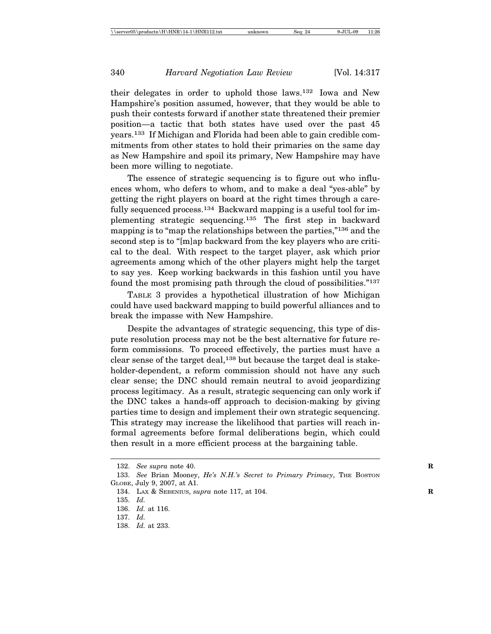their delegates in order to uphold those laws.132 Iowa and New Hampshire's position assumed, however, that they would be able to push their contests forward if another state threatened their premier position—a tactic that both states have used over the past 45 years.133 If Michigan and Florida had been able to gain credible commitments from other states to hold their primaries on the same day as New Hampshire and spoil its primary, New Hampshire may have been more willing to negotiate.

The essence of strategic sequencing is to figure out who influences whom, who defers to whom, and to make a deal "yes-able" by getting the right players on board at the right times through a carefully sequenced process.<sup>134</sup> Backward mapping is a useful tool for implementing strategic sequencing.135 The first step in backward mapping is to "map the relationships between the parties,"136 and the second step is to "[m]ap backward from the key players who are critical to the deal. With respect to the target player, ask which prior agreements among which of the other players might help the target to say yes. Keep working backwards in this fashion until you have found the most promising path through the cloud of possibilities."137

TABLE 3 provides a hypothetical illustration of how Michigan could have used backward mapping to build powerful alliances and to break the impasse with New Hampshire.

Despite the advantages of strategic sequencing, this type of dispute resolution process may not be the best alternative for future reform commissions. To proceed effectively, the parties must have a clear sense of the target deal,<sup>138</sup> but because the target deal is stakeholder-dependent, a reform commission should not have any such clear sense; the DNC should remain neutral to avoid jeopardizing process legitimacy. As a result, strategic sequencing can only work if the DNC takes a hands-off approach to decision-making by giving parties time to design and implement their own strategic sequencing. This strategy may increase the likelihood that parties will reach informal agreements before formal deliberations begin, which could then result in a more efficient process at the bargaining table.

138. *Id.* at 233.

<sup>132.</sup> *See supra* note 40. **R**

<sup>133.</sup> See Brian Mooney, *He's N.H.'s Secret to Primary Primacy*, THE BOSTON GLOBE, July 9, 2007, at A1.

<sup>134.</sup> LAX & SEBENIUS, *supra* note 117, at 104. **R**

<sup>135.</sup> *Id.*

<sup>136.</sup> *Id.* at 116.

<sup>137.</sup> *Id.*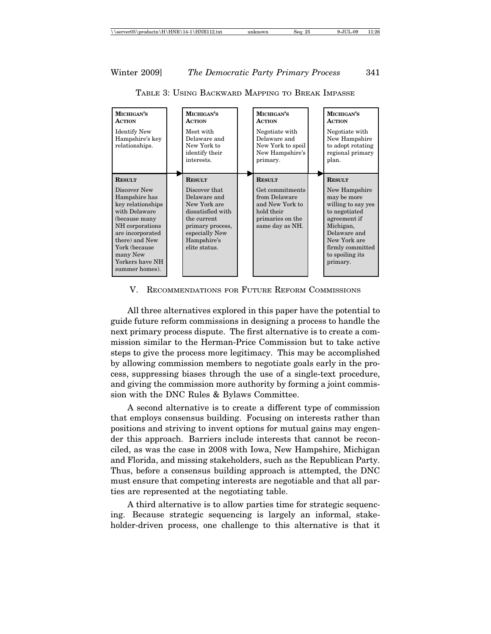| MICHIGAN'S<br><b>ACTION</b><br><b>Identify New</b><br>Hampshire's key<br>relationships.                                                                                                                                          | MICHIGAN'S<br><b>ACTION</b><br>Meet with<br>Delaware and<br>New York to<br>identify their<br>interests.                                                                  | MICHIGAN'S<br><b>ACTION</b><br>Negotiate with<br>Delaware and<br>New York to spoil<br>New Hampshire's<br>primary.         | MICHIGAN'S<br><b>ACTION</b><br>Negotiate with<br>New Hampshire<br>to adopt rotating<br>regional primary<br>plan.                                                                                     |
|----------------------------------------------------------------------------------------------------------------------------------------------------------------------------------------------------------------------------------|--------------------------------------------------------------------------------------------------------------------------------------------------------------------------|---------------------------------------------------------------------------------------------------------------------------|------------------------------------------------------------------------------------------------------------------------------------------------------------------------------------------------------|
| <b>RESULT</b><br>Discover New<br>Hampshire has<br>key relationships<br>with Delaware<br>(because many<br>NH corporations<br>are incorporated<br>there) and New<br>York (because<br>many New<br>Yorkers have NH<br>summer homes). | <b>RESULT</b><br>Discover that<br>Delaware and<br>New York are<br>dissatisfied with<br>the current<br>primary process,<br>especially New<br>Hampshire's<br>elite status. | <b>RESULT</b><br>Get commitments<br>from Delaware<br>and New York to<br>hold their<br>primaries on the<br>same day as NH. | <b>RESULT</b><br>New Hampshire<br>may be more<br>willing to say yes<br>to negotiated<br>agreement if<br>Michigan,<br>Delaware and<br>New York are<br>firmly committed<br>to spoiling its<br>primary. |

TABLE 3: USING BACKWARD MAPPING TO BREAK IMPASSE

V. RECOMMENDATIONS FOR FUTURE REFORM COMMISSIONS

All three alternatives explored in this paper have the potential to guide future reform commissions in designing a process to handle the next primary process dispute. The first alternative is to create a commission similar to the Herman-Price Commission but to take active steps to give the process more legitimacy. This may be accomplished by allowing commission members to negotiate goals early in the process, suppressing biases through the use of a single-text procedure, and giving the commission more authority by forming a joint commission with the DNC Rules & Bylaws Committee.

A second alternative is to create a different type of commission that employs consensus building. Focusing on interests rather than positions and striving to invent options for mutual gains may engender this approach. Barriers include interests that cannot be reconciled, as was the case in 2008 with Iowa, New Hampshire, Michigan and Florida, and missing stakeholders, such as the Republican Party. Thus, before a consensus building approach is attempted, the DNC must ensure that competing interests are negotiable and that all parties are represented at the negotiating table.

A third alternative is to allow parties time for strategic sequencing. Because strategic sequencing is largely an informal, stakeholder-driven process, one challenge to this alternative is that it